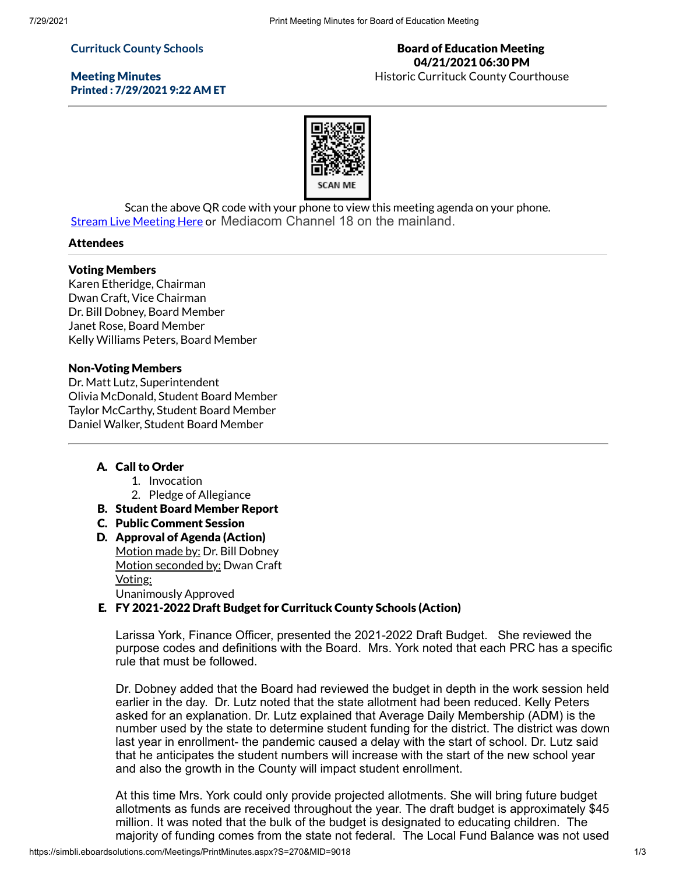## **Currituck County Schools**

Meeting Minutes Printed : 7/29/2021 9:22 AM ET

## Board of Education Meeting 04/21/2021 06:30 PM Historic Currituck County Courthouse

Scan the above QR code with your phone to view this meeting agenda on your phone. Stream Live [Meeting](http://currituckcountync.iqm2.com/Citizens/default.aspx) Here or Mediacom Channel 18 on the mainland.

## **Attendees**

### Voting Members

Karen Etheridge, Chairman Dwan Craft, Vice Chairman Dr. Bill Dobney, Board Member Janet Rose, Board Member Kelly Williams Peters, Board Member

#### Non-Voting Members

Dr. Matt Lutz, Superintendent Olivia McDonald, Student Board Member Taylor McCarthy, Student Board Member Daniel Walker, Student Board Member

# A. Call to Order

- 1. Invocation
- 2. Pledge of Allegiance
- B. Student Board Member Report
- C. Public Comment Session
- D. Approval of Agenda (Action) Motion made by: Dr. Bill Dobney Motion seconded by: Dwan Craft Voting: Unanimously Approved

# E. FY 2021-2022 Draft Budget for Currituck County Schools (Action)

Larissa York, Finance Officer, presented the 2021-2022 Draft Budget. She reviewed the purpose codes and definitions with the Board. Mrs. York noted that each PRC has a specific rule that must be followed.

Dr. Dobney added that the Board had reviewed the budget in depth in the work session held earlier in the day. Dr. Lutz noted that the state allotment had been reduced. Kelly Peters asked for an explanation. Dr. Lutz explained that Average Daily Membership (ADM) is the number used by the state to determine student funding for the district. The district was down last year in enrollment- the pandemic caused a delay with the start of school. Dr. Lutz said that he anticipates the student numbers will increase with the start of the new school year and also the growth in the County will impact student enrollment.

At this time Mrs. York could only provide projected allotments. She will bring future budget allotments as funds are received throughout the year. The draft budget is approximately \$45 million. It was noted that the bulk of the budget is designated to educating children. The majority of funding comes from the state not federal. The Local Fund Balance was not used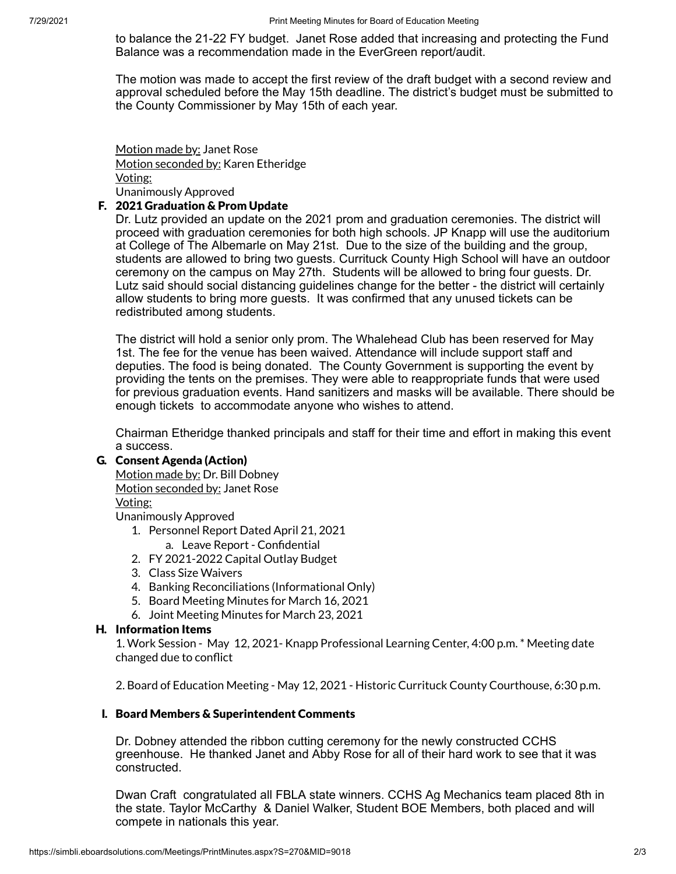to balance the 21-22 FY budget. Janet Rose added that increasing and protecting the Fund Balance was a recommendation made in the EverGreen report/audit.

The motion was made to accept the first review of the draft budget with a second review and approval scheduled before the May 15th deadline. The district's budget must be submitted to the County Commissioner by May 15th of each year.

Motion made by: Janet Rose Motion seconded by: Karen Etheridge Voting: Unanimously Approved

# F. 2021 Graduation & Prom Update

Dr. Lutz provided an update on the 2021 prom and graduation ceremonies. The district will proceed with graduation ceremonies for both high schools. JP Knapp will use the auditorium at College of The Albemarle on May 21st. Due to the size of the building and the group, students are allowed to bring two guests. Currituck County High School will have an outdoor ceremony on the campus on May 27th. Students will be allowed to bring four guests. Dr. Lutz said should social distancing guidelines change for the better - the district will certainly allow students to bring more guests. It was confirmed that any unused tickets can be redistributed among students.

The district will hold a senior only prom. The Whalehead Club has been reserved for May 1st. The fee for the venue has been waived. Attendance will include support staff and deputies. The food is being donated. The County Government is supporting the event by providing the tents on the premises. They were able to reappropriate funds that were used for previous graduation events. Hand sanitizers and masks will be available. There should be enough tickets to accommodate anyone who wishes to attend.

Chairman Etheridge thanked principals and staff for their time and effort in making this event a success.

# G. Consent Agenda (Action)

Motion made by: Dr. Bill Dobney Motion seconded by: Janet Rose Voting:

Unanimously Approved

- 1. Personnel Report Dated April 21, 2021
- a. Leave Report Confidential
- 2. FY 2021-2022 Capital Outlay Budget
- 3. Class Size Waivers
- 4. Banking Reconciliations (Informational Only)
- 5. Board Meeting Minutes for March 16, 2021
- 6. Joint Meeting Minutes for March 23, 2021

## H. Information Items

1. Work Session - May 12, 2021- Knapp Professional Learning Center, 4:00 p.m. \* Meeting date changed due to conflict

2. Board of Education Meeting - May 12, 2021 - Historic Currituck County Courthouse, 6:30 p.m.

## I. Board Members & Superintendent Comments

Dr. Dobney attended the ribbon cutting ceremony for the newly constructed CCHS greenhouse. He thanked Janet and Abby Rose for all of their hard work to see that it was constructed.

Dwan Craft congratulated all FBLA state winners. CCHS Ag Mechanics team placed 8th in the state. Taylor McCarthy & Daniel Walker, Student BOE Members, both placed and will compete in nationals this year.